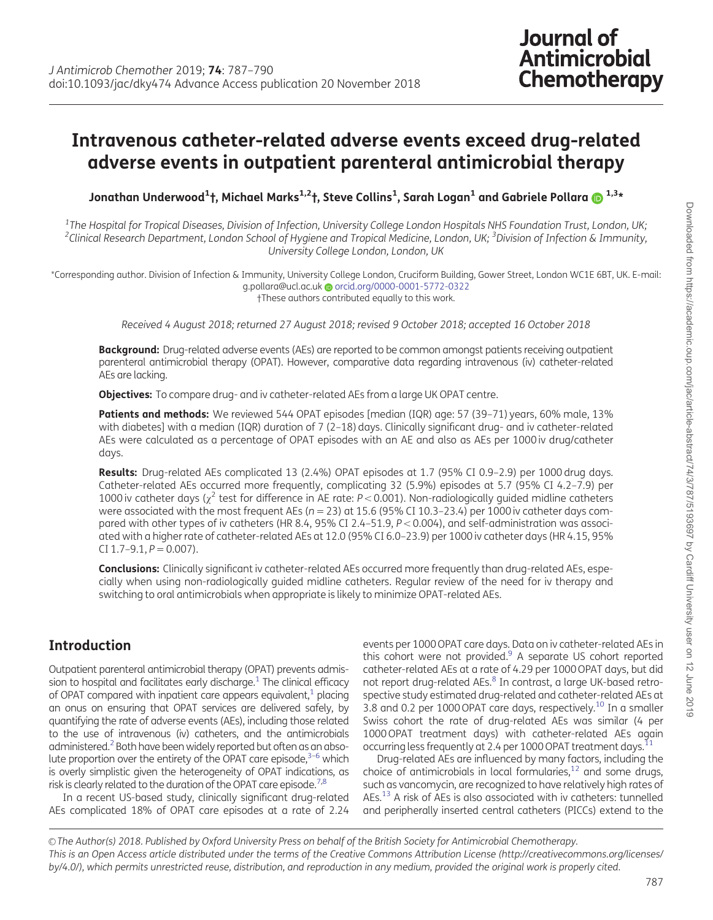# <span id="page-0-0"></span>Intravenous catheter-related adverse events exceed drug-related adverse events in outpatient parenteral antimicrobial therapy

Jonathan Underwood<sup>1</sup> †, Michael Marks1,2†, Steve Collins1 , Sarah Logan<sup>1</sup> and Gabriele Pollara 1,3\*

 $^{\rm 1}$ The Hospital for Tropical Diseases, Division of Infection, University College London Hospitals NHS Foundation Trust, London, UK; <sup>2</sup>Clinical Research Department, London School of Hygiene and Tropical Medicine, London, UK; <sup>3</sup>Division of Infection & Immunity, University College London, London, UK

\*Corresponding author. Division of Infection & Immunity, University College London, Cruciform Building, Gower Street, London WC1E 6BT, UK. E-mail: g.pollara@ucl.ac.uk @ [orcid.org/0000-0001-5772-0322](http://orcid.org/0000-0001-5772-0322) †These authors contributed equally to this work.

Received 4 August 2018; returned 27 August 2018; revised 9 October 2018; accepted 16 October 2018

Background: Drug-related adverse events (AEs) are reported to be common amongst patients receiving outpatient parenteral antimicrobial therapy (OPAT). However, comparative data regarding intravenous (iv) catheter-related AEs are lacking.

Objectives: To compare drug- and iv catheter-related AEs from a large UK OPAT centre.

Patients and methods: We reviewed 544 OPAT episodes [median (IQR) age: 57 (39-71) years, 60% male, 13% with diabetes] with a median (IQR) duration of 7 (2-18) days. Clinically significant drug- and iv catheter-related AEs were calculated as a percentage of OPAT episodes with an AE and also as AEs per 1000 iv drug/catheter days.

Results: Drug-related AEs complicated 13 (2.4%) OPAT episodes at 1.7 (95% CI 0.9–2.9) per 1000 drug days. Catheter-related AEs occurred more frequently, complicating 32 (5.9%) episodes at 5.7 (95% CI 4.2–7.9) per 1000 iv catheter days ( $\chi^2$  test for difference in AE rate: P < 0.001). Non-radiologically quided midline catheters were associated with the most frequent AEs ( $n = 23$ ) at 15.6 (95% CI 10.3–23.4) per 1000 iv catheter days compared with other types of iv catheters (HR 8.4, 95% CI 2.4–51.9,  $P < 0.004$ ), and self-administration was associated with a higher rate of catheter-related AEs at 12.0 (95% CI 6.0–23.9) per 1000 iv catheter days (HR 4.15, 95% CI 1.7-9.1,  $P = 0.007$ ).

Conclusions: Clinically significant iv catheter-related AEs occurred more frequently than drug-related AEs, especially when using non-radiologically guided midline catheters. Regular review of the need for iv therapy and switching to oral antimicrobials when appropriate is likely to minimize OPAT-related AEs.

# Introduction

Outpatient parenteral antimicrobial therapy (OPAT) prevents admission to hospital and facilitates early discharge.<sup>1</sup> The clinical efficacy of OPAT compared with inpatient care appears equivalent, $<sup>1</sup>$  placing</sup> an onus on ensuring that OPAT services are delivered safely, by quantifying the rate of adverse events (AEs), including those related to the use of intravenous (iv) catheters, and the antimicrobials administered.<sup>2</sup> Both have been widely reported but often as an absolute proportion over the entirety of the OPAT care episode, $3-6$  which is overly simplistic given the heterogeneity of OPAT indications, as risk is clearly related to the duration of the OPAT care episode.<sup>7,8</sup>

In a recent US-based study, clinically significant drug-related AEs complicated 18% of OPAT care episodes at a rate of 2.24

events per 1000 OPAT care days. Data on iv catheter-related AEs in this cohort were not provided.<sup>[9](#page-3-0)</sup> A separate US cohort reported catheter-related AEs at a rate of 4.29 per 1000 OPAT days, but did not report drug-related AEs.<sup>[8](#page-3-0)</sup> In contrast, a large UK-based retrospective study estimated drug-related and catheter-related AEs at 3.8 and 0.2 per [10](#page-3-0)00 OPAT care days, respectively.<sup>10</sup> In a smaller Swiss cohort the rate of drug-related AEs was similar (4 per 1000 OPAT treatment days) with catheter-related AEs again occurring less frequently at 2.4 per 1000 OPAT treatment days.<sup>[11](#page-3-0)</sup>

Drug-related AEs are influenced by many factors, including the choice of antimicrobials in local formularies, $^{12}$  and some drugs, such as vancomycin, are recognized to have relatively high rates of AEs.<sup>13</sup> A risk of AEs is also associated with iv catheters: tunnelled and peripherally inserted central catheters (PICCs) extend to the

© The Author(s) 2018. Published by Oxford University Press on behalf of the British Society for Antimicrobial Chemotherapy. This is an Open Access article distributed under the terms of the Creative Commons Attribution License (http://creativecommons.org/licenses/ by/4.0/), which permits unrestricted reuse, distribution, and reproduction in any medium, provided the original work is properly cited.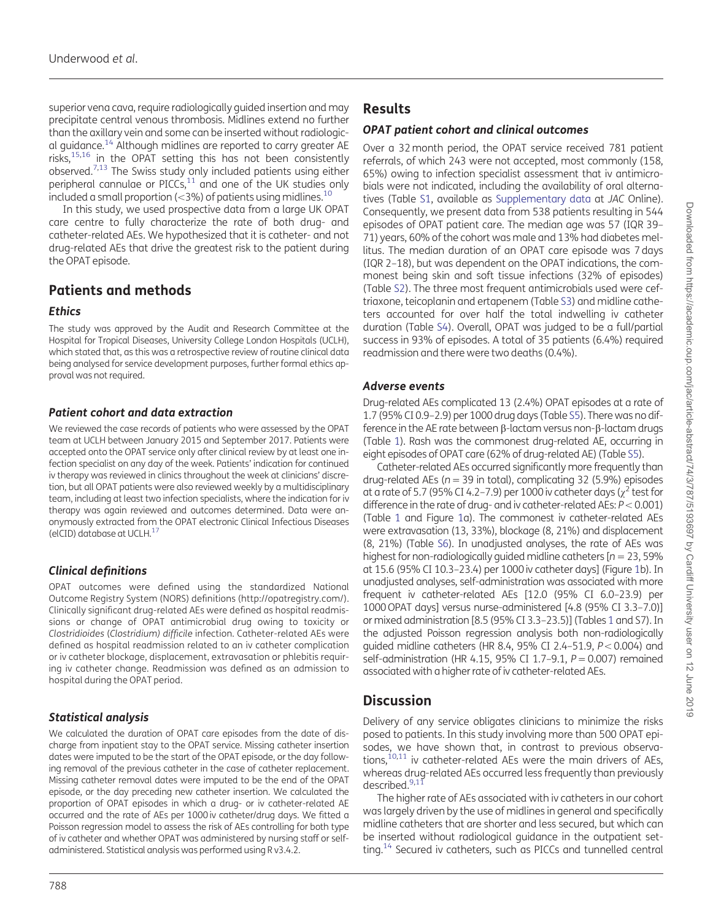<span id="page-1-0"></span>superior vena cava, require radiologically guided insertion and may precipitate central venous thrombosis. Midlines extend no further than the axillary vein and some can be inserted without radiological guidance.[14](#page-3-0) Although midlines are reported to carry greater AE risks, $15,16$  in the OPAT setting this has not been consistently observed.[7,13](#page-3-0) The Swiss study only included patients using either peripheral cannulae or PICCs, $11$  and one of the UK studies only included a small proportion ( $<$ 3%) of patients using midlines.<sup>[10](#page-3-0)</sup>

In this study, we used prospective data from a large UK OPAT care centre to fully characterize the rate of both drug- and catheter-related AEs. We hypothesized that it is catheter- and not drug-related AEs that drive the greatest risk to the patient during the OPAT episode.

# Patients and methods

#### Ethics

The study was approved by the Audit and Research Committee at the Hospital for Tropical Diseases, University College London Hospitals (UCLH), which stated that, as this was a retrospective review of routine clinical data being analysed for service development purposes, further formal ethics approval was not required.

#### Patient cohort and data extraction

We reviewed the case records of patients who were assessed by the OPAT team at UCLH between January 2015 and September 2017. Patients were accepted onto the OPAT service only after clinical review by at least one infection specialist on any day of the week. Patients' indication for continued iv therapy was reviewed in clinics throughout the week at clinicians' discretion, but all OPAT patients were also reviewed weekly by a multidisciplinary team, including at least two infection specialists, where the indication for iv therapy was again reviewed and outcomes determined. Data were anonymously extracted from the OPAT electronic Clinical Infectious Diseases (elCID) database at UCLH. $<sup>1</sup>$ </sup>

# Clinical definitions

OPAT outcomes were defined using the standardized National Outcome Registry System (NORS) definitions [\(http://opatregistry.com/](http://opatregistry.com/)). Clinically significant drug-related AEs were defined as hospital readmissions or change of OPAT antimicrobial drug owing to toxicity or Clostridioides (Clostridium) difficile infection. Catheter-related AEs were defined as hospital readmission related to an iv catheter complication or iv catheter blockage, displacement, extravasation or phlebitis requiring iv catheter change. Readmission was defined as an admission to hospital during the OPAT period.

# Statistical analysis

We calculated the duration of OPAT care episodes from the date of discharge from inpatient stay to the OPAT service. Missing catheter insertion dates were imputed to be the start of the OPAT episode, or the day following removal of the previous catheter in the case of catheter replacement. Missing catheter removal dates were imputed to be the end of the OPAT episode, or the day preceding new catheter insertion. We calculated the proportion of OPAT episodes in which a drug- or iv catheter-related AE occurred and the rate of AEs per 1000 iv catheter/drug days. We fitted a Poisson regression model to assess the risk of AEs controlling for both type of iv catheter and whether OPAT was administered by nursing staff or selfadministered. Statistical analysis was performed using R v3.4.2.

#### OPAT patient cohort and clinical outcomes

Over a 32 month period, the OPAT service received 781 patient referrals, of which 243 were not accepted, most commonly (158, 65%) owing to infection specialist assessment that iv antimicrobials were not indicated, including the availability of oral alternatives (Table [S1](https://academic.oup.com/jac/article-lookup/doi/10.1093/jac/dky474#supplementary-data), available as [Supplementary data](https://academic.oup.com/jac/article-lookup/doi/10.1093/jac/dky474#supplementary-data) at JAC Online). Consequently, we present data from 538 patients resulting in 544 episodes of OPAT patient care. The median age was 57 (IQR 39– 71) years, 60% of the cohort was male and 13% had diabetes mellitus. The median duration of an OPAT care episode was 7 days (IQR 2–18), but was dependent on the OPAT indications, the commonest being skin and soft tissue infections (32% of episodes) (Table [S2](https://academic.oup.com/jac/article-lookup/doi/10.1093/jac/dky474#supplementary-data)). The three most frequent antimicrobials used were ceftriaxone, teicoplanin and ertapenem (Table [S3](https://academic.oup.com/jac/article-lookup/doi/10.1093/jac/dky474#supplementary-data)) and midline catheters accounted for over half the total indwelling iv catheter duration (Table [S4\)](https://academic.oup.com/jac/article-lookup/doi/10.1093/jac/dky474#supplementary-data). Overall, OPAT was judged to be a full/partial success in 93% of episodes. A total of 35 patients (6.4%) required readmission and there were two deaths (0.4%).

#### Adverse events

Drug-related AEs complicated 13 (2.4%) OPAT episodes at a rate of 1.7 (95% CI 0.9–2.9) per 1000 drug days (Table [S5\)](https://academic.oup.com/jac/article-lookup/doi/10.1093/jac/dky474#supplementary-data). There was no difference in the AE rate between  $\beta$ -lactam versus non- $\beta$ -lactam drugs (Table [1\)](#page-2-0). Rash was the commonest drug-related AE, occurring in eight episodes of OPAT care (62% of drug-related AE) (Table [S5\)](https://academic.oup.com/jac/article-lookup/doi/10.1093/jac/dky474#supplementary-data).

Catheter-related AEs occurred significantly more frequently than drug-related AEs ( $n = 39$  in total), complicating 32 (5.9%) episodes at a rate of 5.7 (95% CI 4.2–7.9) per 1000 iv catheter days ( $\chi^2$  test for difference in the rate of drug- and iv catheter-related AEs:  $P < 0.001$ ) (Table [1](#page-2-0) and Figure [1](#page-2-0)a). The commonest iv catheter-related AEs were extravasation (13, 33%), blockage (8, 21%) and displacement (8, 21%) (Table [S6](https://academic.oup.com/jac/article-lookup/doi/10.1093/jac/dky474#supplementary-data)). In unadjusted analyses, the rate of AEs was highest for non-radiologically guided midline catheters  $[n = 23, 59\%]$ at 15.6 (95% CI 10.3–23.4) per 1000 iv catheter days] (Figure [1](#page-2-0)b). In unadjusted analyses, self-administration was associated with more frequent iv catheter-related AEs [12.0 (95% CI 6.0–23.9) per 1000 OPAT days] versus nurse-administered [4.8 (95% CI 3.3–7.0)] or mixed administration [8.5 (95% CI 3.3–23.5)] (Tables [1](#page-2-0) and S7). In the adjusted Poisson regression analysis both non-radiologically quided midline catheters (HR 8.4, 95% CI 2.4-51.9,  $P < 0.004$ ) and self-administration (HR 4.15, 95% CI 1.7-9.1,  $P = 0.007$ ) remained associated with a higher rate of iv catheter-related AEs.

# **Discussion**

Delivery of any service obligates clinicians to minimize the risks posed to patients. In this study involving more than 500 OPAT episodes, we have shown that, in contrast to previous observations, $10,11$  iv catheter-related AEs were the main drivers of AEs, whereas drug-related AEs occurred less frequently than previously described.<sup>[9,11](#page-3-0)</sup>

The higher rate of AEs associated with iv catheters in our cohort was largely driven by the use of midlines in general and specifically midline catheters that are shorter and less secured, but which can be inserted without radiological guidance in the outpatient setting.<sup>14</sup> Secured iv catheters, such as PICCs and tunnelled central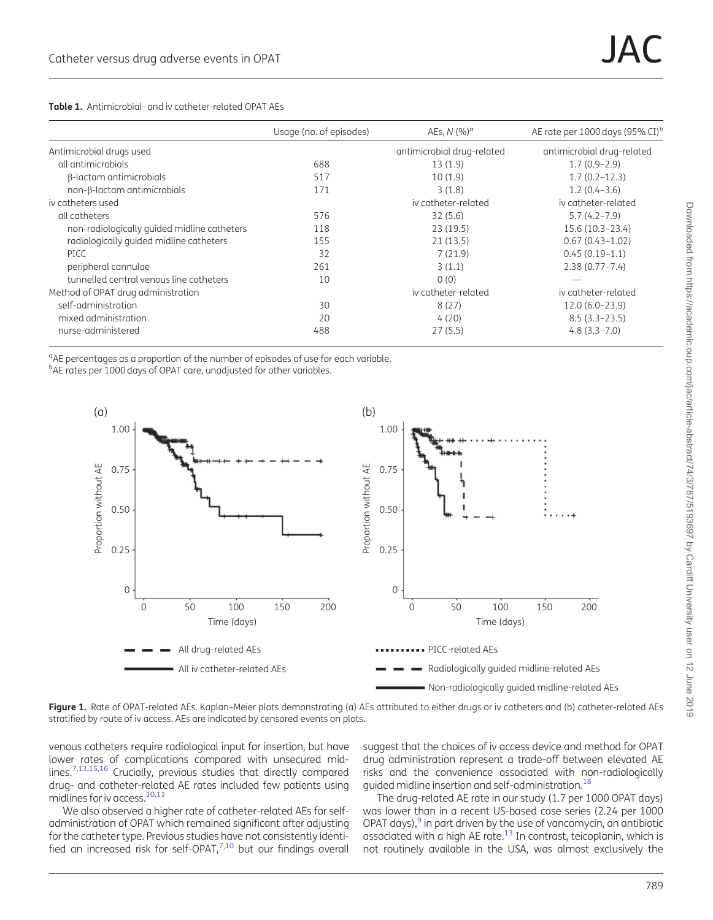<span id="page-2-0"></span>

|  | <b>Table 1.</b> Antimicrobial- and iv catheter-related OPAT AEs |  |
|--|-----------------------------------------------------------------|--|
|  |                                                                 |  |

|                                             | Usage (no. of episodes) | AEs, $N$ (%) <sup>a</sup>  | AE rate per 1000 days (95% CI) <sup>b</sup> |
|---------------------------------------------|-------------------------|----------------------------|---------------------------------------------|
| Antimicrobial drugs used                    |                         | antimicrobial drug-related | antimicrobial drug-related                  |
| all antimicrobials                          | 688                     | 13(1.9)                    | $1.7(0.9-2.9)$                              |
| β-lactam antimicrobials                     | 517                     | 10(1.9)                    | $1.7(0.2 - 12.3)$                           |
| $non-\beta$ -lactam antimicrobials          | 171                     | 3(1.8)                     | $1.2(0.4-3.6)$                              |
| iv catheters used                           |                         | iv catheter-related        | iv catheter-related                         |
| all catheters                               | 576                     | 32(5.6)                    | $5.7(4.2 - 7.9)$                            |
| non-radiologically guided midline catheters | 118                     | 23(19.5)                   | 15.6 (10.3-23.4)                            |
| radiologically guided midline catheters     | 155                     | 21(13.5)                   | $0.67(0.43 - 1.02)$                         |
| <b>PICC</b>                                 | 32                      | 7(21.9)                    | $0.45(0.19-1.1)$                            |
| peripheral cannulae                         | 261                     | 3(1.1)                     | $2.38(0.77 - 7.4)$                          |
| tunnelled central venous line catheters     | 10                      | 0(0)                       |                                             |
| Method of OPAT drug administration          |                         | iv catheter-related        | iv catheter-related                         |
| self-administration                         | 30                      | 8(27)                      | $12.0(6.0-23.9)$                            |
| mixed administration                        | 20                      | 4(20)                      | $8.5(3.3-23.5)$                             |
| nurse-administered                          | 488                     | 27(5.5)                    | $4.8(3.3 - 7.0)$                            |

<sup>a</sup>AE percentages as a proportion of the number of episodes of use for each variable.

<sup>b</sup>AE rates per 1000 days of OPAT care, unadjusted for other variables.



Figure 1. Rate of OPAT-related AEs. Kaplan-Meier plots demonstrating (a) AEs attributed to either drugs or iv catheters and (b) catheter-related AEs stratified by route of iv access. AEs are indicated by censored events on plots.

venous catheters require radiological input for insertion, but have lower rates of complications compared with unsecured midlines[.7,13,15,16](#page-3-0) Crucially, previous studies that directly compared drug- and catheter-related AE rates included few patients using midlines for iv access.<sup>10,11</sup>

We also observed a higher rate of catheter-related AEs for selfadministration of OPAT which remained significant after adjusting for the catheter type. Previous studies have not consistently identified an increased risk for self-OPAT, $^{7,10}$  but our findings overall

suggest that the choices of iv access device and method for OPAT drug administration represent a trade-off between elevated AE risks and the convenience associated with non-radiologically guided midline insertion and self-administration.[18](#page-3-0)

The drug-related AE rate in our study (1.7 per 1000 OPAT days) was lower than in a recent US-based case series (2.24 per 1000 OPAT days), $9$  in part driven by the use of vancomycin, an antibiotic associated with a high AE rate[.13](#page-3-0) In contrast, teicoplanin, which is not routinely available in the USA, was almost exclusively the